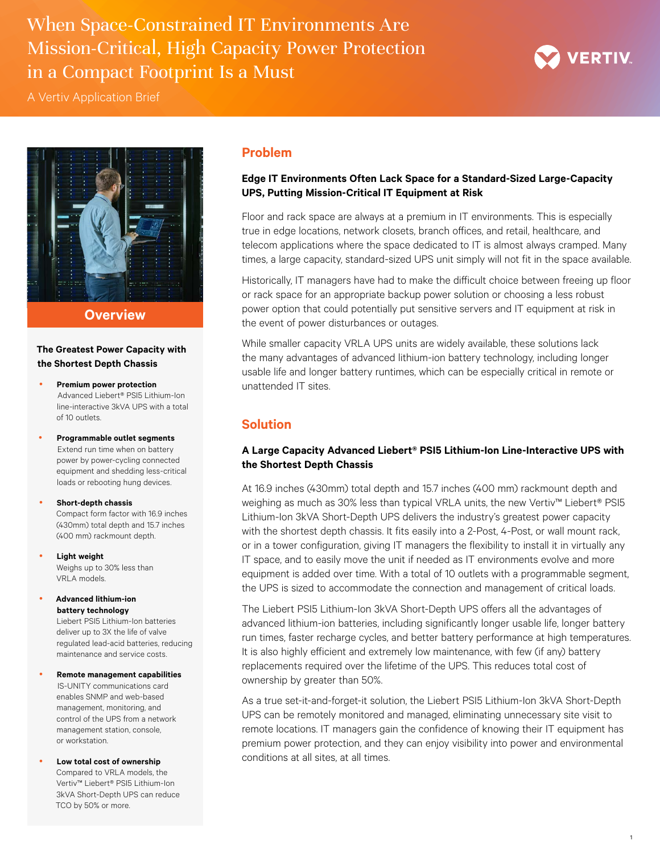When Space-Constrained IT Environments Are Mission-Critical, High Capacity Power Protection in a Compact Footprint Is a Must



A Vertiv Application Brief



**Overview**

**The Greatest Power Capacity with the Shortest Depth Chassis** 

- **Premium power protection** Advanced Liebert® PSI5 Lithium-Ion line-interactive 3kVA UPS with a total of 10 outlets.
- y **Programmable outlet segments**  Extend run time when on battery power by power-cycling connected equipment and shedding less-critical loads or rebooting hung devices.

**•** Short-depth chassis Compact form factor with 16.9 inches (430mm) total depth and 15.7 inches (400 mm) rackmount depth.

**Light weight** Weighs up to 30% less than VRLA models.

y **Advanced lithium-ion battery technology**

> Liebert PSI5 Lithium-Ion batteries deliver up to 3X the life of valve regulated lead-acid batteries, reducing maintenance and service costs.

- y **Remote management capabilities** IS-UNITY communications card enables SNMP and web-based management, monitoring, and control of the UPS from a network management station, console, or workstation.
- Low total cost of ownership Compared to VRLA models, the Vertiv™ Liebert® PSI5 Lithium-Ion 3kVA Short-Depth UPS can reduce TCO by 50% or more.

## **Problem**

## **Edge IT Environments Often Lack Space for a Standard-Sized Large-Capacity UPS, Putting Mission-Critical IT Equipment at Risk**

Floor and rack space are always at a premium in IT environments. This is especially true in edge locations, network closets, branch offices, and retail, healthcare, and telecom applications where the space dedicated to IT is almost always cramped. Many times, a large capacity, standard-sized UPS unit simply will not fit in the space available.

Historically, IT managers have had to make the difficult choice between freeing up floor or rack space for an appropriate backup power solution or choosing a less robust power option that could potentially put sensitive servers and IT equipment at risk in the event of power disturbances or outages.

While smaller capacity VRLA UPS units are widely available, these solutions lack the many advantages of advanced lithium-ion battery technology, including longer usable life and longer battery runtimes, which can be especially critical in remote or unattended IT sites.

# **Solution**

# **A Large Capacity Advanced Liebert® PSI5 Lithium-Ion Line-Interactive UPS with the Shortest Depth Chassis**

At 16.9 inches (430mm) total depth and 15.7 inches (400 mm) rackmount depth and weighing as much as 30% less than typical VRLA units, the new Vertiv™ Liebert® PSI5 Lithium-Ion 3kVA Short-Depth UPS delivers the industry's greatest power capacity with the shortest depth chassis. It fits easily into a 2-Post, 4-Post, or wall mount rack, or in a tower configuration, giving IT managers the flexibility to install it in virtually any IT space, and to easily move the unit if needed as IT environments evolve and more equipment is added over time. With a total of 10 outlets with a programmable segment, the UPS is sized to accommodate the connection and management of critical loads.

The Liebert PSI5 Lithium-Ion 3kVA Short-Depth UPS offers all the advantages of advanced lithium-ion batteries, including significantly longer usable life, longer battery run times, faster recharge cycles, and better battery performance at high temperatures. It is also highly efficient and extremely low maintenance, with few (if any) battery replacements required over the lifetime of the UPS. This reduces total cost of ownership by greater than 50%.

As a true set-it-and-forget-it solution, the Liebert PSI5 Lithium-Ion 3kVA Short-Depth UPS can be remotely monitored and managed, eliminating unnecessary site visit to remote locations. IT managers gain the confidence of knowing their IT equipment has premium power protection, and they can enjoy visibility into power and environmental conditions at all sites, at all times.